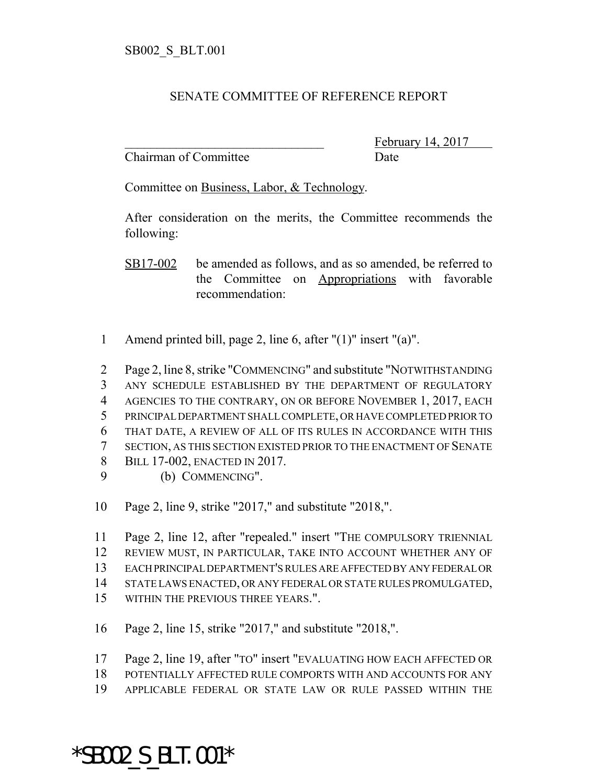## SENATE COMMITTEE OF REFERENCE REPORT

Chairman of Committee Date

February 14, 2017

Committee on Business, Labor, & Technology.

After consideration on the merits, the Committee recommends the following:

SB17-002 be amended as follows, and as so amended, be referred to the Committee on Appropriations with favorable recommendation:

- Amend printed bill, page 2, line 6, after "(1)" insert "(a)".
- Page 2, line 8, strike "COMMENCING" and substitute "NOTWITHSTANDING ANY SCHEDULE ESTABLISHED BY THE DEPARTMENT OF REGULATORY AGENCIES TO THE CONTRARY, ON OR BEFORE NOVEMBER 1, 2017, EACH PRINCIPAL DEPARTMENT SHALL COMPLETE, OR HAVE COMPLETED PRIOR TO THAT DATE, A REVIEW OF ALL OF ITS RULES IN ACCORDANCE WITH THIS SECTION, AS THIS SECTION EXISTED PRIOR TO THE ENACTMENT OF SENATE BILL 17-002, ENACTED IN 2017. (b) COMMENCING".
- Page 2, line 9, strike "2017," and substitute "2018,".
- Page 2, line 12, after "repealed." insert "THE COMPULSORY TRIENNIAL REVIEW MUST, IN PARTICULAR, TAKE INTO ACCOUNT WHETHER ANY OF EACH PRINCIPAL DEPARTMENT'S RULES ARE AFFECTED BY ANY FEDERAL OR STATE LAWS ENACTED, OR ANY FEDERAL OR STATE RULES PROMULGATED, WITHIN THE PREVIOUS THREE YEARS.".
- Page 2, line 15, strike "2017," and substitute "2018,".
- Page 2, line 19, after "TO" insert "EVALUATING HOW EACH AFFECTED OR
- POTENTIALLY AFFECTED RULE COMPORTS WITH AND ACCOUNTS FOR ANY
- APPLICABLE FEDERAL OR STATE LAW OR RULE PASSED WITHIN THE

## \*SB002\_S\_BLT.001\*